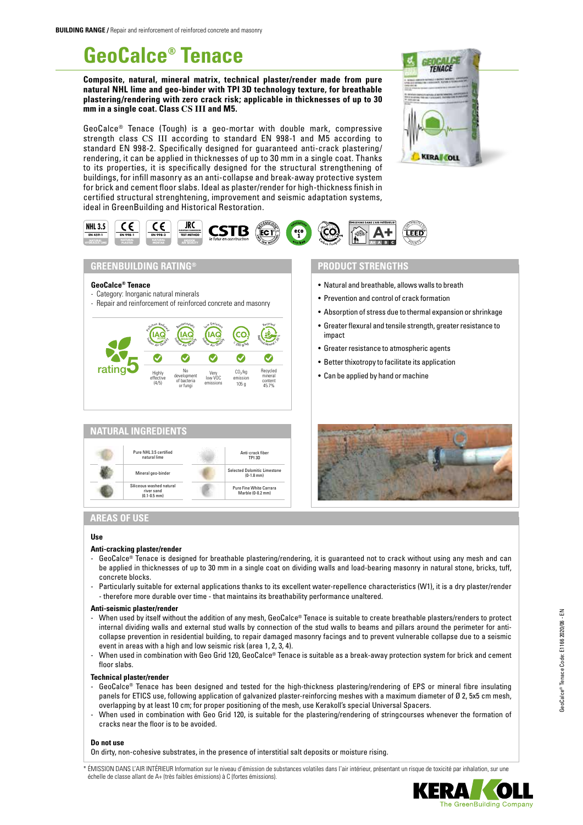# **GeoCalce® Tenace**

**Composite, natural, mineral matrix, technical plaster/render made from pure natural NHL lime and geo-binder with TPI 3D technology texture, for breathable plastering/rendering with zero crack risk; applicable in thicknesses of up to 30 mm in a single coat. Class CS III and M5.** 

GeoCalce® Tenace (Tough) is a geo-mortar with double mark, compressive strength class CS III according to standard EN 998-1 and M5 according to standard EN 998-2. Specifically designed for guaranteed anti-crack plastering/ rendering, it can be applied in thicknesses of up to 30 mm in a single coat. Thanks to its properties, it is specifically designed for the structural strengthening of buildings, for infill masonry as an anti-collapse and break-away protective system for brick and cement floor slabs. Ideal as plaster/render for high-thickness finish in certified structural strenghtening, improvement and seismic adaptation systems, ideal in GreenBuilding and Historical Restoration.





## **GREENBUILDING RATING®**

### **GeoCalce® Tenace**

- Category: Inorganic natural minerals
- Repair and reinforcement of reinforced concrete and masonry





## **PRODUCT STRENGTHS**

- Natural and breathable, allows walls to breath
- Prevention and control of crack formation
- Absorption of stress due to thermal expansion or shrinkage
- Greater flexural and tensile strength, greater resistance to impact
- Greater resistance to atmospheric agents
- Better thixotropy to facilitate its application
- Can be applied by hand or machine



## **AREAS OF USE**

## **Use**

#### **Anti-cracking plaster/render**

- GeoCalce® Tenace is designed for breathable plastering/rendering, it is guaranteed not to crack without using any mesh and can be applied in thicknesses of up to 30 mm in a single coat on dividing walls and load-bearing masonry in natural stone, bricks, tuff, concrete blocks.
- Particularly suitable for external applications thanks to its excellent water-repellence characteristics (W1), it is a dry plaster/render - therefore more durable over time - that maintains its breathability performance unaltered.

#### **Anti-seismic plaster/render**

- When used by itself without the addition of any mesh, GeoCalce® Tenace is suitable to create breathable plasters/renders to protect internal dividing walls and external stud walls by connection of the stud walls to beams and pillars around the perimeter for anticollapse prevention in residential building, to repair damaged masonry facings and to prevent vulnerable collapse due to a seismic event in areas with a high and low seismic risk (area 1, 2, 3, 4).
- When used in combination with Geo Grid 120, GeoCalce® Tenace is suitable as a break-away protection system for brick and cement floor slabs.

#### **Technical plaster/render**

- GeoCalce® Tenace has been designed and tested for the high-thickness plastering/rendering of EPS or mineral fibre insulating panels for ETICS use, following application of galvanized plaster-reinforcing meshes with a maximum diameter of Ø 2, 5x5 cm mesh, overlapping by at least 10 cm; for proper positioning of the mesh, use Kerakoll's special Universal Spacers.
- When used in combination with Geo Grid 120, is suitable for the plastering/rendering of stringcourses whenever the formation of cracks near the floor is to be avoided.

## **Do not use**

On dirty, non-cohesive substrates, in the presence of interstitial salt deposits or moisture rising.

ÉMISSION DANS L'AIR INTÉRIEUR Information sur le niveau d'émission de substances volatiles dans l'air intérieur, présentant un risque de toxicité par inhalation, sur une échelle de classe allant de A+ (très faibles émissions) à C (fortes émissions).

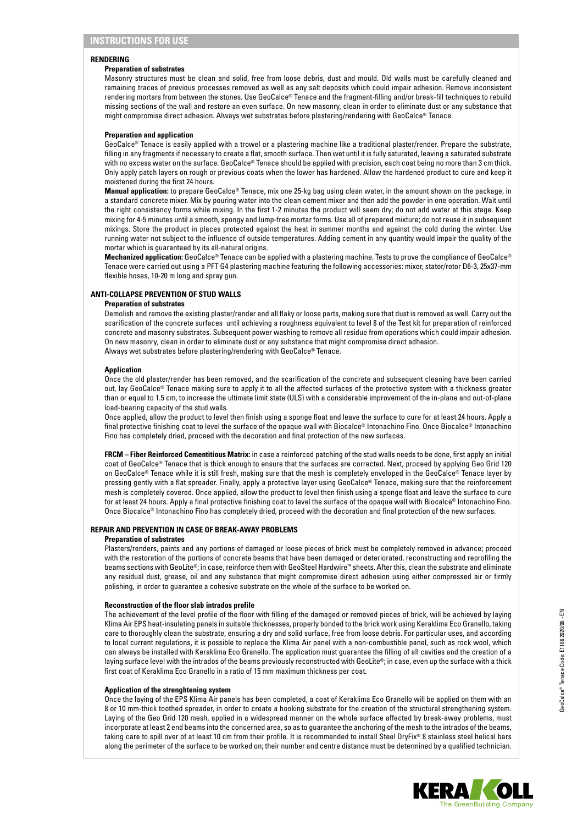## **RENDERING**

## **Preparation of substrates**

Masonry structures must be clean and solid, free from loose debris, dust and mould. Old walls must be carefully cleaned and remaining traces of previous processes removed as well as any salt deposits which could impair adhesion. Remove inconsistent rendering mortars from between the stones. Use GeoCalce® Tenace and the fragment-filling and/or break-fill techniques to rebuild missing sections of the wall and restore an even surface. On new masonry, clean in order to eliminate dust or any substance that might compromise direct adhesion. Always wet substrates before plastering/rendering with GeoCalce® Tenace.

### **Preparation and application**

GeoCalce® Tenace is easily applied with a trowel or a plastering machine like a traditional plaster/render. Prepare the substrate, filling in any fragments if necessary to create a flat, smooth surface. Then wet until it is fully saturated, leaving a saturated substrate with no excess water on the surface. GeoCalce® Tenace should be applied with precision, each coat being no more than 3 cm thick. Only apply patch layers on rough or previous coats when the lower has hardened. Allow the hardened product to cure and keep it moistened during the first 24 hours.

**Manual application:** to prepare GeoCalce® Tenace, mix one 25-kg bag using clean water, in the amount shown on the package, in a standard concrete mixer. Mix by pouring water into the clean cement mixer and then add the powder in one operation. Wait until the right consistency forms while mixing. In the first 1-2 minutes the product will seem dry; do not add water at this stage. Keep mixing for 4-5 minutes until a smooth, spongy and lump-free mortar forms. Use all of prepared mixture; do not reuse it in subsequent mixings. Store the product in places protected against the heat in summer months and against the cold during the winter. Use running water not subject to the influence of outside temperatures. Adding cement in any quantity would impair the quality of the mortar which is guaranteed by its all-natural origins.

**Mechanized application:** GeoCalce® Tenace can be applied with a plastering machine. Tests to prove the compliance of GeoCalce® Tenace were carried out using a PFT G4 plastering machine featuring the following accessories: mixer, stator/rotor D6-3, 25x37-mm flexible hoses, 10-20 m long and spray gun.

## **ANTI-COLLAPSE PREVENTION OF STUD WALLS**

### **Preparation of substrates**

Demolish and remove the existing plaster/render and all flaky or loose parts, making sure that dust is removed as well. Carry out the scarification of the concrete surfaces until achieving a roughness equivalent to level 8 of the Test kit for preparation of reinforced concrete and masonry substrates. Subsequent power washing to remove all residue from operations which could impair adhesion. On new masonry, clean in order to eliminate dust or any substance that might compromise direct adhesion. Always wet substrates before plastering/rendering with GeoCalce® Tenace.

### **Application**

Once the old plaster/render has been removed, and the scarification of the concrete and subsequent cleaning have been carried out, lay GeoCalce® Tenace making sure to apply it to all the affected surfaces of the protective system with a thickness greater than or equal to 1.5 cm, to increase the ultimate limit state (ULS) with a considerable improvement of the in-plane and out-of-plane load-bearing capacity of the stud walls.

Once applied, allow the product to level then finish using a sponge float and leave the surface to cure for at least 24 hours. Apply a final protective finishing coat to level the surface of the opaque wall with Biocalce® Intonachino Fino. Once Biocalce® Intonachino Fino has completely dried, proceed with the decoration and final protection of the new surfaces.

**FRCM – Fiber Reinforced Cementitious Matrix:** in case a reinforced patching of the stud walls needs to be done, first apply an initial coat of GeoCalce® Tenace that is thick enough to ensure that the surfaces are corrected. Next, proceed by applying Geo Grid 120 on GeoCalce® Tenace while it is still fresh, making sure that the mesh is completely enveloped in the GeoCalce® Tenace layer by pressing gently with a flat spreader. Finally, apply a protective layer using GeoCalce® Tenace, making sure that the reinforcement mesh is completely covered. Once applied, allow the product to level then finish using a sponge float and leave the surface to cure for at least 24 hours. Apply a final protective finishing coat to level the surface of the opaque wall with Biocalce® Intonachino Fino. Once Biocalce® Intonachino Fino has completely dried, proceed with the decoration and final protection of the new surfaces.

## **REPAIR AND PREVENTION IN CASE OF BREAK-AWAY PROBLEMS**

#### **Preparation of substrates**

Plasters/renders, paints and any portions of damaged or loose pieces of brick must be completely removed in advance; proceed with the restoration of the portions of concrete beams that have been damaged or deteriorated, reconstructing and reprofiling the beams sections with GeoLite®; in case, reinforce them with GeoSteel Hardwire™ sheets. After this, clean the substrate and eliminate any residual dust, grease, oil and any substance that might compromise direct adhesion using either compressed air or firmly polishing, in order to guarantee a cohesive substrate on the whole of the surface to be worked on.

## **Reconstruction of the floor slab intrados profile**

The achievement of the level profile of the floor with filling of the damaged or removed pieces of brick, will be achieved by laying Klima Air EPS heat-insulating panels in suitable thicknesses, properly bonded to the brick work using Keraklima Eco Granello, taking care to thoroughly clean the substrate, ensuring a dry and solid surface, free from loose debris. For particular uses, and according to local current regulations, it is possible to replace the Klima Air panel with a non-combustible panel, such as rock wool, which can always be installed with Keraklima Eco Granello. The application must guarantee the filling of all cavities and the creation of a laying surface level with the intrados of the beams previously reconstructed with GeoLite®; in case, even up the surface with a thick first coat of Keraklima Eco Granello in a ratio of 15 mm maximum thickness per coat.

#### **Application of the strenghtening system**

Once the laying of the EPS Klima Air panels has been completed, a coat of Keraklima Eco Granello will be applied on them with an 8 or 10 mm-thick toothed spreader, in order to create a hooking substrate for the creation of the structural strengthening system. Laying of the Geo Grid 120 mesh, applied in a widespread manner on the whole surface affected by break-away problems, must incorporate at least 2 end beams into the concerned area, so as to guarantee the anchoring of the mesh to the intrados of the beams, taking care to spill over of at least 10 cm from their profile. It is recommended to install Steel DryFix® 8 stainless steel helical bars along the perimeter of the surface to be worked on; their number and centre distance must be determined by a qualified technician.

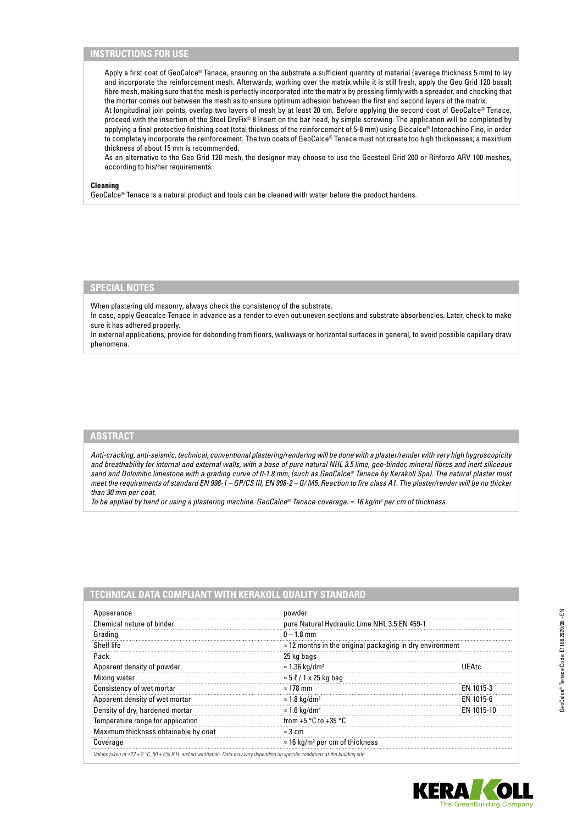## **INSTRUCTIONS FOR USE**

Apply a first coat of GeoCalce® Tenace, ensuring on the substrate a sufficient quantity of material (average thickness 5 mm) to lay and incorporate the reinforcement mesh. Afterwards, working over the matrix while it is still fresh, apply the Geo Grid 120 basalt fibre mesh, making sure that the mesh is perfectly incorporated into the matrix by pressing firmly with a spreader, and checking that the mortar comes out between the mesh as to ensure optimum adhesion between the first and second layers of the matrix. At longitudinal join points, overlap two layers of mesh by at least 20 cm. Before applying the second coat of GeoCalce® Tenace, proceed with the insertion of the Steel DryFix® 8 Insert on the bar head, by simple screwing. The application will be completed by applying a final protective finishing coat (total thickness of the reinforcement of 5-8 mm) using Biocalce® Intonachino Fino, in order to completely incorporate the reinforcement. The two coats of GeoCalce® Tenace must not create too high thicknesses; a maximum thickness of about 15 mm is recommended.

As an alternative to the Geo Grid 120 mesh, the designer may choose to use the Geosteel Grid 200 or Rinforzo ARV 100 meshes, according to his/her requirements.

## **Cleaning**

GeoCalce® Tenace is a natural product and tools can be cleaned with water before the product hardens.

## **SPECIAL NOTES**

When plastering old masonry, always check the consistency of the substrate.

In case, apply Geocalce Tenace in advance as a render to even out uneven sections and substrate absorbencies. Later, check to make sure it has adhered properly.

In external applications, provide for debonding from floors, walkways or horizontal surfaces in general, to avoid possible capillary draw phenomena.

## **ABSTRACT**

*Anti-cracking, anti-seismic, technical, conventional plastering/rendering will be done with a plaster/render with very high hygroscopicity and breathability for internal and external walls, with a base of pure natural NHL 3.5 lime, geo-binder, mineral fibres and inert siliceous sand and Dolomitic limestone with a grading curve of 0-1.8 mm, (such as GeoCalce® Tenace by Kerakoll Spa). The natural plaster must meet the requirements of standard EN 998-1 – GP/CS III, EN 998-2 – G/ M5. Reaction to fire class A1. The plaster/render will be no thicker than 30 mm per coat.* 

*To be applied by hand or using a plastering machine. GeoCalce® Tenace coverage: ≈ 16 kg/m<sup>2</sup> per cm of thickness.* 

| Appearance                           | powder                                                           |            |  |
|--------------------------------------|------------------------------------------------------------------|------------|--|
| Chemical nature of binder            | pure Natural Hydraulic Lime NHL 3.5 EN 459-1                     |            |  |
| Grading                              | $0 - 1.8$ mm                                                     |            |  |
| Shelf life                           | $\approx$ 12 months in the original packaging in dry environment |            |  |
| Pack                                 | 25 kg bags                                                       |            |  |
| Apparent density of powder           | $\approx$ 1.36 kg/dm <sup>3</sup>                                | I IF∆te    |  |
| Mixing water                         | $\approx$ 5 $\ell$ / 1 x 25 kg bag                               |            |  |
| Consistency of wet mortar            | $\approx$ 178 mm                                                 | EN 1015-3  |  |
| Apparent density of wet mortar       | $\approx$ 1.8 kg/dm <sup>3</sup>                                 | EN 1015-6  |  |
| Density of dry, hardened mortar      | $\approx$ 1.6 kg/dm <sup>3</sup>                                 | FN 1015-10 |  |
| Temperature range for application    | from $+5$ °C to $+35$ °C                                         |            |  |
| Maximum thickness obtainable by coat | $\approx$ 3 cm                                                   |            |  |
| Coverage                             | $\approx$ 16 kg/m <sup>2</sup> per cm of thickness               |            |  |

## **TECHNICAL DATA COMPLIANT WITH KERAKOLL QUALITY STANDARD**